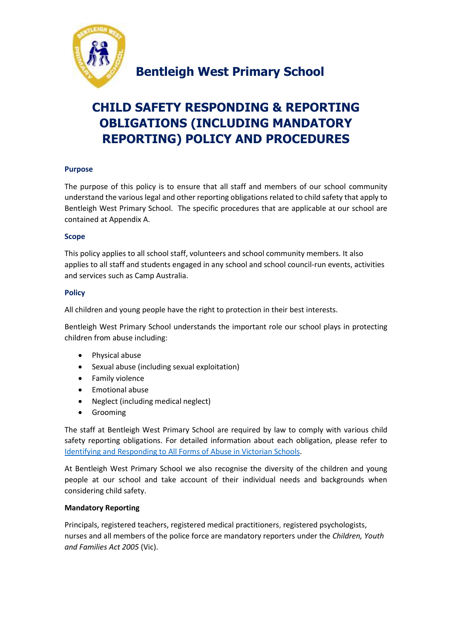

# **CHILD SAFETY RESPONDING & REPORTING OBLIGATIONS (INCLUDING MANDATORY REPORTING) POLICY AND PROCEDURES**

# **Purpose**

The purpose of this policy is to ensure that all staff and members of our school community understand the various legal and other reporting obligations related to child safety that apply to Bentleigh West Primary School. The specific procedures that are applicable at our school are contained at Appendix A.

# **Scope**

This policy applies to all school staff, volunteers and school community members. It also applies to all staff and students engaged in any school and school council-run events, activities and services such as Camp Australia.

## **Policy**

All children and young people have the right to protection in their best interests.

Bentleigh West Primary School understands the important role our school plays in protecting children from abuse including:

- Physical abuse
- Sexual abuse (including sexual exploitation)
- Family violence
- Emotional abuse
- Neglect (including medical neglect)
- **•** Grooming

The staff at Bentleigh West Primary School are required by law to comply with various child safety reporting obligations. For detailed information about each obligation, please refer to [Identifying and Responding to All Forms of Abuse in Victorian Schools.](https://www.education.vic.gov.au/Documents/about/programs/health/protect/ChildSafeStandard5_SchoolsGuide.pdf)

At Bentleigh West Primary School we also recognise the diversity of the children and young people at our school and take account of their individual needs and backgrounds when considering child safety.

# **Mandatory Reporting**

Principals, registered teachers, registered medical practitioners, registered psychologists, nurses and all members of the police force are mandatory reporters under the *Children, Youth and Families Act 2005* (Vic).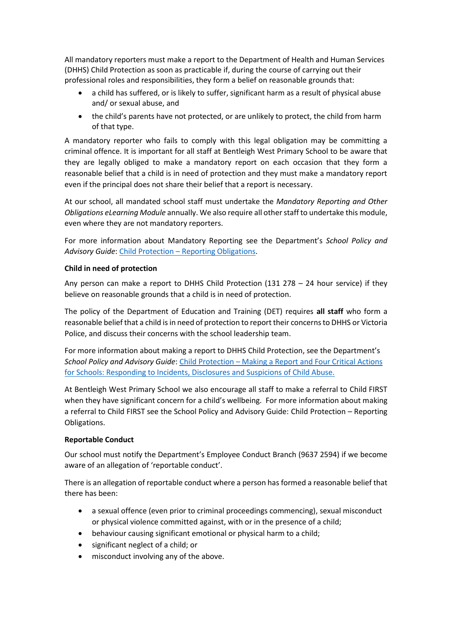All mandatory reporters must make a report to the Department of Health and Human Services (DHHS) Child Protection as soon as practicable if, during the course of carrying out their professional roles and responsibilities, they form a belief on reasonable grounds that:

- a child has suffered, or is likely to suffer, significant harm as a result of physical abuse and/ or sexual abuse, and
- the child's parents have not protected, or are unlikely to protect, the child from harm of that type.

A mandatory reporter who fails to comply with this legal obligation may be committing a criminal offence. It is important for all staff at Bentleigh West Primary School to be aware that they are legally obliged to make a mandatory report on each occasion that they form a reasonable belief that a child is in need of protection and they must make a mandatory report even if the principal does not share their belief that a report is necessary.

At our school, all mandated school staff must undertake the *Mandatory Reporting and Other Obligations eLearning Module* annually. We also require all other staff to undertake this module, even where they are not mandatory reporters.

For more information about Mandatory Reporting see the Department's *School Policy and Advisory Guide*: Child Protection – [Reporting Obligations.](http://www.education.vic.gov.au/school/principals/spag/safety/Pages/childprotectobligation.aspx)

## **Child in need of protection**

Any person can make a report to DHHS Child Protection (131 278 – 24 hour service) if they believe on reasonable grounds that a child is in need of protection.

The policy of the Department of Education and Training (DET) requires **all staff** who form a reasonable belief that a child is in need of protection to report their concerns to DHHS or Victoria Police, and discuss their concerns with the school leadership team.

For more information about making a report to DHHS Child Protection, see the Department's *School Policy and Advisory Guide*[: Child Protection](http://www.education.vic.gov.au/school/principals/spag/safety/Pages/childprotectreporting.aspx) – Making a Report an[d Four Critical Actions](https://www.education.vic.gov.au/Documents/about/programs/health/protect/FourCriticalActions_ChildAbuse.pdf)  [for Schools: Responding to Incidents, Disclosures and Suspicions of Child Abuse.](https://www.education.vic.gov.au/Documents/about/programs/health/protect/FourCriticalActions_ChildAbuse.pdf)

At Bentleigh West Primary School we also encourage all staff to make a referral to Child FIRST when they have significant concern for a child's wellbeing. For more information about making a referral to Child FIRST see the School Policy and Advisory Guide: [Child Protection](https://www.education.vic.gov.au/school/principals/spag/safety/Pages/childprotectobligation.aspx) – Reporting [Obligations.](https://www.education.vic.gov.au/school/principals/spag/safety/Pages/childprotectobligation.aspx)

#### **Reportable Conduct**

Our school must notify the Department's Employee Conduct Branch (9637 2594) if we become aware of an allegation of 'reportable conduct'.

There is an allegation of reportable conduct where a person has formed a reasonable belief that there has been:

- a sexual offence (even prior to criminal proceedings commencing), sexual misconduct or physical violence committed against, with or in the presence of a child;
- behaviour causing significant emotional or physical harm to a child;
- significant neglect of a child; or
- misconduct involving any of the above.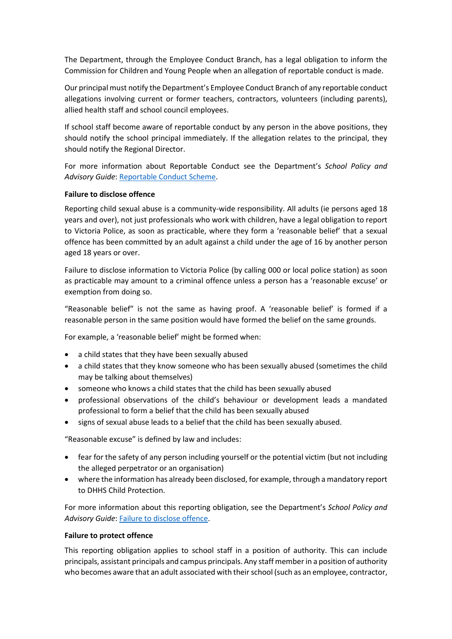The Department, through the Employee Conduct Branch, has a legal obligation to inform the Commission for Children and Young People when an allegation of reportable conduct is made.

Our principal must notify the Department's Employee Conduct Branch of any reportable conduct allegations involving current or former teachers, contractors, volunteers (including parents), allied health staff and school council employees.

If school staff become aware of reportable conduct by any person in the above positions, they should notify the school principal immediately. If the allegation relates to the principal, they should notify the Regional Director.

For more information about Reportable Conduct see the Department's *School Policy and Advisory Guide*: [Reportable Conduct Scheme.](http://www.education.vic.gov.au/school/principals/spag/safety/Pages/reportableconductscheme.aspx)

#### **Failure to disclose offence**

Reporting child sexual abuse is a community-wide responsibility. All adults (ie persons aged 18 years and over), not just professionals who work with children, have a legal obligation to report to Victoria Police, as soon as practicable, where they form a 'reasonable belief' that a sexual offence has been committed by an adult against a child under the age of 16 by another person aged 18 years or over.

Failure to disclose information to Victoria Police (by calling 000 or local police station) as soon as practicable may amount to a criminal offence unless a person has a 'reasonable excuse' or exemption from doing so.

"Reasonable belief" is not the same as having proof. A 'reasonable belief' is formed if a reasonable person in the same position would have formed the belief on the same grounds.

For example, a 'reasonable belief' might be formed when:

- a child states that they have been sexually abused
- a child states that they know someone who has been sexually abused (sometimes the child may be talking about themselves)
- someone who knows a child states that the child has been sexually abused
- professional observations of the child's behaviour or development leads a mandated professional to form a belief that the child has been sexually abused
- signs of sexual abuse leads to a belief that the child has been sexually abused.

"Reasonable excuse" is defined by law and includes:

- fear for the safety of any person including yourself or the potential victim (but not including the alleged perpetrator or an organisation)
- where the information has already been disclosed, for example, through a mandatory report to DHHS Child Protection.

For more information about this reporting obligation, see the Department's *School Policy and Advisory Guide*: [Failure to disclose offence.](http://www.education.vic.gov.au/school/principals/spag/safety/Pages/childprotectobligation.aspx)

#### **Failure to protect offence**

This reporting obligation applies to school staff in a position of authority. This can include principals, assistant principals and campus principals. Any staff member in a position of authority who becomes aware that an adult associated with their school (such as an employee, contractor,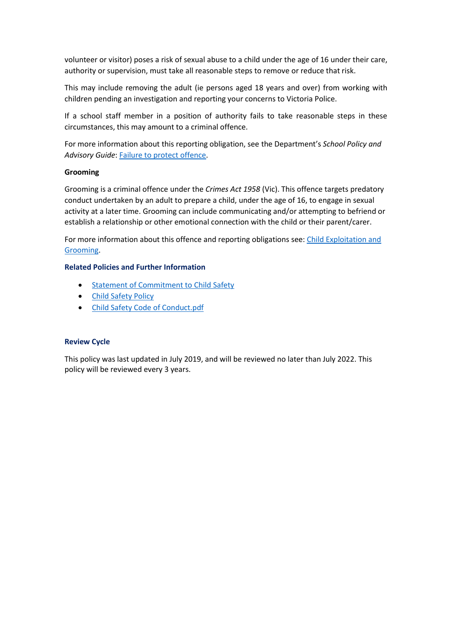volunteer or visitor) poses a risk of sexual abuse to a child under the age of 16 under their care, authority or supervision, must take all reasonable steps to remove or reduce that risk.

This may include removing the adult (ie persons aged 18 years and over) from working with children pending an investigation and reporting your concerns to Victoria Police.

If a school staff member in a position of authority fails to take reasonable steps in these circumstances, this may amount to a criminal offence.

For more information about this reporting obligation, see the Department's *School Policy and Advisory Guide*: [Failure to protect offence.](http://www.education.vic.gov.au/school/principals/spag/safety/Pages/childprotectobligation.aspx)

#### **Grooming**

Grooming is a criminal offence under the *Crimes Act 1958* (Vic). This offence targets predatory conduct undertaken by an adult to prepare a child, under the age of 16, to engage in sexual activity at a later time. Grooming can include communicating and/or attempting to befriend or establish a relationship or other emotional connection with the child or their parent/carer.

For more information about this offence and reporting obligations see: [Child Exploitation and](https://www.education.vic.gov.au/school/teachers/health/childprotection/Pages/expolitationgrooming.aspx)  [Grooming.](https://www.education.vic.gov.au/school/teachers/health/childprotection/Pages/expolitationgrooming.aspx)

#### **Related Policies and Further Information**

- **•** [Statement of Commitment to Child Safety](https://www.bentleighwestps.vic.edu.au/child-safe)
- [Child Safety Policy](https://www.bentleighwestps.vic.edu.au/child-safe)
- [Child Safety Code of Conduct.pdf](https://www.bentleighwestps.vic.edu.au/child-safe)

#### **Review Cycle**

This policy was last updated in July 2019, and will be reviewed no later than July 2022. This policy will be reviewed every 3 years.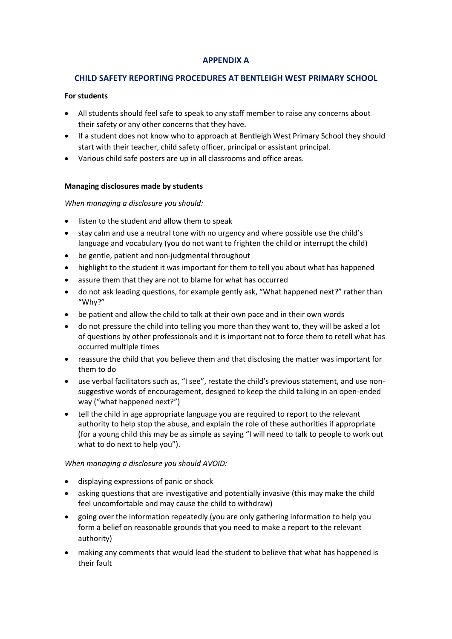# **APPENDIX A**

# **CHILD SAFETY REPORTING PROCEDURES AT BENTLEIGH WEST PRIMARY SCHOOL**

### **For students**

- All students should feel safe to speak to any staff member to raise any concerns about their safety or any other concerns that they have.
- If a student does not know who to approach at Bentleigh West Primary School they should start with their teacher, child safety officer, principal or assistant principal.
- Various child safe posters are up in all classrooms and office areas.

## **Managing disclosures made by students**

## *When managing a disclosure you should:*

- listen to the student and allow them to speak
- stay calm and use a neutral tone with no urgency and where possible use the child's language and vocabulary (you do not want to frighten the child or interrupt the child)
- be gentle, patient and non-judgmental throughout
- highlight to the student it was important for them to tell you about what has happened
- assure them that they are not to blame for what has occurred
- do not ask leading questions, for example gently ask, "What happened next?" rather than "Why?"
- be patient and allow the child to talk at their own pace and in their own words
- do not pressure the child into telling you more than they want to, they will be asked a lot of questions by other professionals and it is important not to force them to retell what has occurred multiple times
- reassure the child that you believe them and that disclosing the matter was important for them to do
- use verbal facilitators such as, "I see", restate the child's previous statement, and use nonsuggestive words of encouragement, designed to keep the child talking in an open-ended way ("what happened next?")
- tell the child in age appropriate language you are required to report to the relevant authority to help stop the abuse, and explain the role of these authorities if appropriate (for a young child this may be as simple as saying "I will need to talk to people to work out what to do next to help you").

# *When managing a disclosure you should AVOID:*

- displaying expressions of panic or shock
- asking questions that are investigative and potentially invasive (this may make the child feel uncomfortable and may cause the child to withdraw)
- going over the information repeatedly (you are only gathering information to help you form a belief on reasonable grounds that you need to make a report to the relevant authority)
- making any comments that would lead the student to believe that what has happened is their fault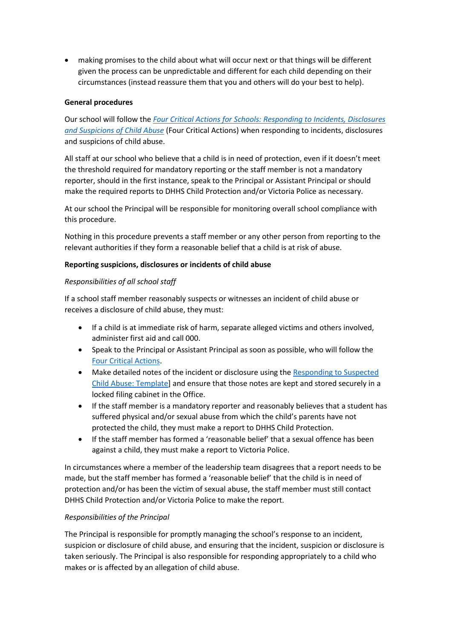making promises to the child about what will occur next or that things will be different given the process can be unpredictable and different for each child depending on their circumstances (instead reassure them that you and others will do your best to help).

## **General procedures**

Our school will follow the *[Four Critical Actions for Schools: Responding to Incidents, Disclosures](https://www.education.vic.gov.au/Documents/about/programs/health/protect/FourCriticalActions_ChildAbuse.pdf)  [and Suspicions of Child Abuse](https://www.education.vic.gov.au/Documents/about/programs/health/protect/FourCriticalActions_ChildAbuse.pdf)* (Four Critical Actions) when responding to incidents, disclosures and suspicions of child abuse.

All staff at our school who believe that a child is in need of protection, even if it doesn't meet the threshold required for mandatory reporting or the staff member is not a mandatory reporter, should in the first instance, speak to the Principal or Assistant Principal or should make the required reports to DHHS Child Protection and/or Victoria Police as necessary.

At our school the Principal will be responsible for monitoring overall school compliance with this procedure.

Nothing in this procedure prevents a staff member or any other person from reporting to the relevant authorities if they form a reasonable belief that a child is at risk of abuse.

#### **Reporting suspicions, disclosures or incidents of child abuse**

#### *Responsibilities of all school staff*

If a school staff member reasonably suspects or witnesses an incident of child abuse or receives a disclosure of child abuse, they must:

- If a child is at immediate risk of harm, separate alleged victims and others involved, administer first aid and call 000.
- Speak to the Principal or Assistant Principal as soon as possible, who will follow the [Four Critical Actions.](https://www.education.vic.gov.au/Documents/about/programs/health/protect/FourCriticalActions_ChildAbuse.pdf)
- Make detailed notes of the incident or disclosure using the [Responding to Suspected](https://www.education.vic.gov.au/Documents/about/programs/health/protect/PROTECT_Schoolstemplate.pdf)  [Child Abuse: Template\]](https://www.education.vic.gov.au/Documents/about/programs/health/protect/PROTECT_Schoolstemplate.pdf) and ensure that those notes are kept and stored securely in a locked filing cabinet in the Office.
- If the staff member is a mandatory reporter and reasonably believes that a student has suffered physical and/or sexual abuse from which the child's parents have not protected the child, they must make a report to DHHS Child Protection.
- If the staff member has formed a 'reasonable belief' that a sexual offence has been against a child, they must make a report to Victoria Police.

In circumstances where a member of the leadership team disagrees that a report needs to be made, but the staff member has formed a 'reasonable belief' that the child is in need of protection and/or has been the victim of sexual abuse, the staff member must still contact DHHS Child Protection and/or Victoria Police to make the report.

#### *Responsibilities of the Principal*

The Principal is responsible for promptly managing the school's response to an incident, suspicion or disclosure of child abuse, and ensuring that the incident, suspicion or disclosure is taken seriously. The Principal is also responsible for responding appropriately to a child who makes or is affected by an allegation of child abuse.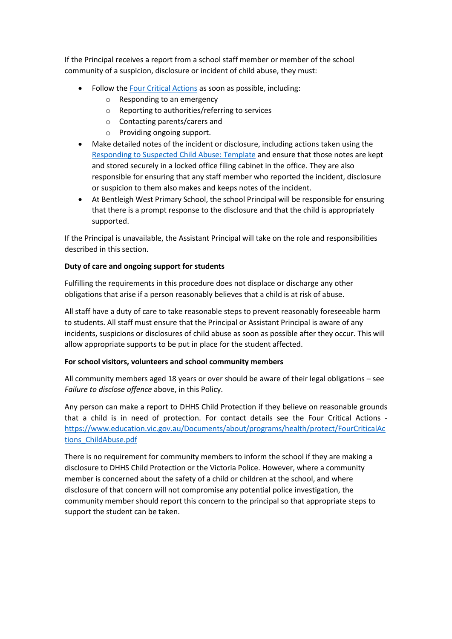If the Principal receives a report from a school staff member or member of the school community of a suspicion, disclosure or incident of child abuse, they must:

- Follow th[e Four Critical Actions](https://www.education.vic.gov.au/Documents/about/programs/health/protect/FourCriticalActions_ChildAbuse.pdf) as soon as possible, including:
	- o Responding to an emergency
	- o Reporting to authorities/referring to services
	- o Contacting parents/carers and
	- o Providing ongoing support.
- Make detailed notes of the incident or disclosure, including actions taken using the [Responding to Suspected Child Abuse: Template](https://www.education.vic.gov.au/Documents/about/programs/health/protect/PROTECT_Schoolstemplate.pdf) and ensure that those notes are kept and stored securely in a locked office filing cabinet in the office. They are also responsible for ensuring that any staff member who reported the incident, disclosure or suspicion to them also makes and keeps notes of the incident.
- At Bentleigh West Primary School, the school Principal will be responsible for ensuring that there is a prompt response to the disclosure and that the child is appropriately supported.

If the Principal is unavailable, the Assistant Principal will take on the role and responsibilities described in this section.

# **Duty of care and ongoing support for students**

Fulfilling the requirements in this procedure does not displace or discharge any other obligations that arise if a person reasonably believes that a child is at risk of abuse.

All staff have a duty of care to take reasonable steps to prevent reasonably foreseeable harm to students. All staff must ensure that the Principal or Assistant Principal is aware of any incidents, suspicions or disclosures of child abuse as soon as possible after they occur. This will allow appropriate supports to be put in place for the student affected.

# **For school visitors, volunteers and school community members**

All community members aged 18 years or over should be aware of their legal obligations – see *Failure to disclose offence* above, in this Policy.

Any person can make a report to DHHS Child Protection if they believe on reasonable grounds that a child is in need of protection. For contact details see the Four Critical Actions [https://www.education.vic.gov.au/Documents/about/programs/health/protect/FourCriticalAc](https://www.education.vic.gov.au/Documents/about/programs/health/protect/FourCriticalActions_ChildAbuse.pdf) [tions\\_ChildAbuse.pdf](https://www.education.vic.gov.au/Documents/about/programs/health/protect/FourCriticalActions_ChildAbuse.pdf)

There is no requirement for community members to inform the school if they are making a disclosure to DHHS Child Protection or the Victoria Police. However, where a community member is concerned about the safety of a child or children at the school, and where disclosure of that concern will not compromise any potential police investigation, the community member should report this concern to the principal so that appropriate steps to support the student can be taken.